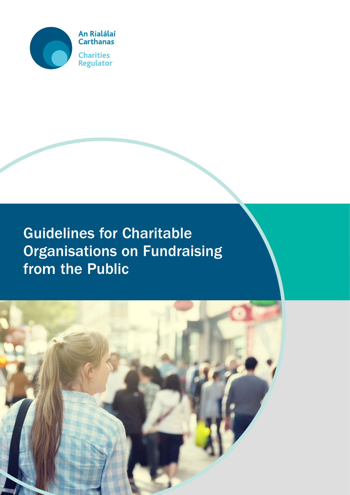

## Guidelines for Charitable **Organisations on Fundraising** from the Public

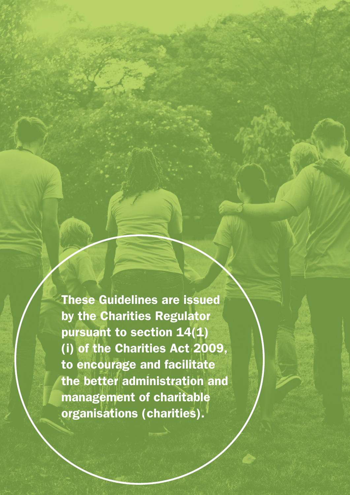These Guidelines are issued by the Charities Regulator pursuant to section 14(1) (i) of the Charities Act 2009, to encourage and facilitate the better administration and management of charitable organisations (charities).

ii Guidelines for Charitable Organisations on Fundraising from the Public CHARITIES REGULATOR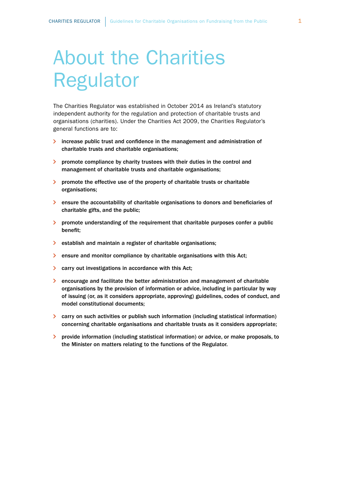# About the Charities Regulator

The Charities Regulator was established in October 2014 as Ireland's statutory independent authority for the regulation and protection of charitable trusts and organisations (charities). Under the Charities Act 2009, the Charities Regulator's general functions are to:

- $\geq$  increase public trust and confidence in the management and administration of charitable trusts and charitable organisations;
- **>** promote compliance by charity trustees with their duties in the control and management of charitable trusts and charitable organisations;
- > promote the effective use of the property of charitable trusts or charitable organisations;
- ensure the accountability of charitable organisations to donors and beneficiaries of charitable gifts, and the public;
- $\geq$  promote understanding of the requirement that charitable purposes confer a public benefit;
- S establish and maintain a register of charitable organisations;
- $\geq$  ensure and monitor compliance by charitable organisations with this Act;
- carry out investigations in accordance with this Act;
- encourage and facilitate the better administration and management of charitable organisations by the provision of information or advice, including in particular by way of issuing (or, as it considers appropriate, approving) guidelines, codes of conduct, and model constitutional documents;
- carry on such activities or publish such information (including statistical information) concerning charitable organisations and charitable trusts as it considers appropriate;
- $\geq$  provide information (including statistical information) or advice, or make proposals, to the Minister on matters relating to the functions of the Regulator.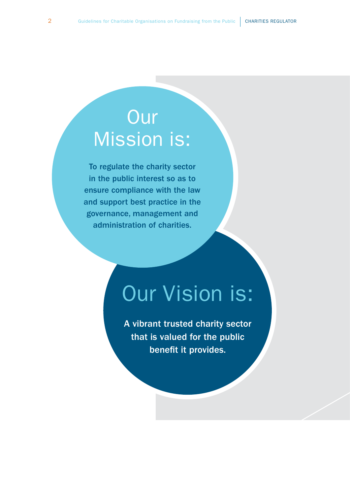# **Our** Mission is:

To regulate the charity sector in the public interest so as to ensure compliance with the law and support best practice in the governance, management and administration of charities.

# Our Vision is:

A vibrant trusted charity sector that is valued for the public benefit it provides.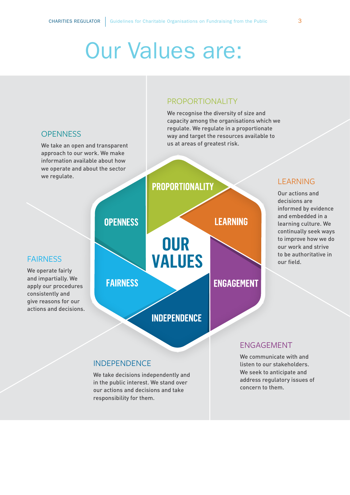# Our Values are:

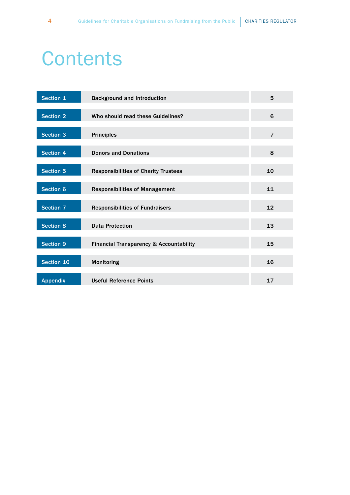# **Contents**

| Section 1        | <b>Background and Introduction</b>                 | 5              |
|------------------|----------------------------------------------------|----------------|
| <b>Section 2</b> | Who should read these Guidelines?                  | 6              |
| <b>Section 3</b> | <b>Principles</b>                                  | $\overline{7}$ |
| <b>Section 4</b> | <b>Donors and Donations</b>                        | 8              |
| <b>Section 5</b> | <b>Responsibilities of Charity Trustees</b>        | 10             |
| <b>Section 6</b> | <b>Responsibilities of Management</b>              | 11             |
| <b>Section 7</b> | <b>Responsibilities of Fundraisers</b>             | 12             |
| <b>Section 8</b> | <b>Data Protection</b>                             | 13             |
| <b>Section 9</b> | <b>Financial Transparency &amp; Accountability</b> | 15             |
| Section 10       | <b>Monitoring</b>                                  | 16             |
| <b>Appendix</b>  | <b>Useful Reference Points</b>                     | 17             |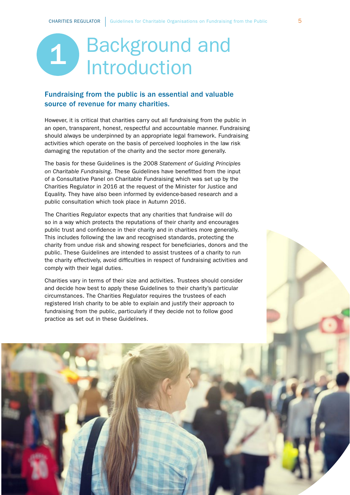## 1 Background and Introduction

#### Fundraising from the public is an essential and valuable source of revenue for many charities.

However, it is critical that charities carry out all fundraising from the public in an open, transparent, honest, respectful and accountable manner. Fundraising should always be underpinned by an appropriate legal framework. Fundraising activities which operate on the basis of perceived loopholes in the law risk damaging the reputation of the charity and the sector more generally.

The basis for these Guidelines is the 2008 *Statement of Guiding Principles on Charitable Fundraising*. These Guidelines have benefitted from the input of a Consultative Panel on Charitable Fundraising which was set up by the Charities Regulator in 2016 at the request of the Minister for Justice and Equality. They have also been informed by evidence-based research and a public consultation which took place in Autumn 2016.

The Charities Regulator expects that any charities that fundraise will do so in a way which protects the reputations of their charity and encourages public trust and confidence in their charity and in charities more generally. This includes following the law and recognised standards, protecting the charity from undue risk and showing respect for beneficiaries, donors and the public. These Guidelines are intended to assist trustees of a charity to run the charity effectively, avoid difficulties in respect of fundraising activities and comply with their legal duties.

Charities vary in terms of their size and activities. Trustees should consider and decide how best to apply these Guidelines to their charity's particular circumstances. The Charities Regulator requires the trustees of each registered Irish charity to be able to explain and justify their approach to fundraising from the public, particularly if they decide not to follow good practice as set out in these Guidelines.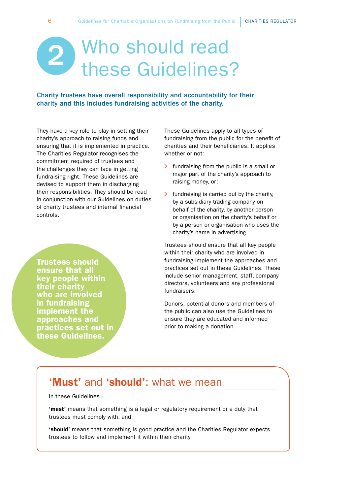## Who should read these Guidelines? 2

Charity trustees have overall responsibility and accountability for their charity and this includes fundraising activities of the charity.

They have a key role to play in setting their charity's approach to raising funds and ensuring that it is implemented in practice. The Charities Regulator recognises the commitment required of trustees and the challenges they can face in getting fundraising right. These Guidelines are devised to support them in discharging their responsibilities. They should be read in conjunction with our Guidelines on duties of charity trustees and internal financial controls.

Trustees should ensure that all key people within their charity who are involved in fundraising implement the approaches and practices set out in these Guidelines.

These Guidelines apply to all types of fundraising from the public for the benefit of charities and their beneficiaries. It applies whether or not:

- $\sum$  fundraising from the public is a small or major part of the charity's approach to raising money, or;
- $\triangleright$  fundraising is carried out by the charity, by a subsidiary trading company on behalf of the charity, by another person or organisation on the charity's behalf or by a person or organisation who uses the charity's name in advertising.

Trustees should ensure that all key people within their charity who are involved in fundraising implement the approaches and practices set out in these Guidelines. These include senior management, staff, company directors, volunteers and any professional fundraisers.

Donors, potential donors and members of the public can also use the Guidelines to ensure they are educated and informed prior to making a donation.

## 'Must' and 'should': what we mean

In these Guidelines -

'must' means that something is a legal or regulatory requirement or a duty that trustees must comply with, and

'should' means that something is good practice and the Charities Regulator expects trustees to follow and implement it within their charity.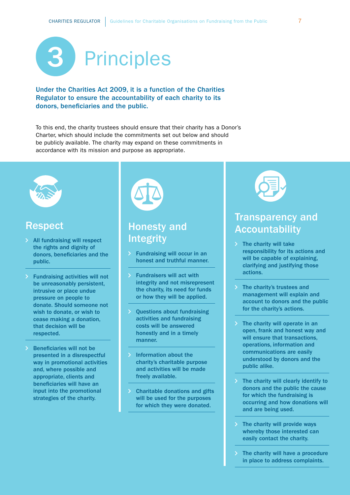

#### Under the Charities Act 2009, it is a function of the Charities Regulator to ensure the accountability of each charity to its donors, beneficiaries and the public.

To this end, the charity trustees should ensure that their charity has a Donor's Charter, which should include the commitments set out below and should be publicly available. The charity may expand on these commitments in accordance with its mission and purpose as appropriate.



#### Respect

- All fundraising will respect the rights and dignity of donors, beneficiaries and the public.
- Fundraising activities will not be unreasonably persistent, intrusive or place undue pressure on people to donate. Should someone not wish to donate, or wish to cease making a donation, that decision will be respected.
- Beneficiaries will not be presented in a disrespectful way in promotional activities and, where possible and appropriate, clients and beneficiaries will have an input into the promotional strategies of the charity.



## Honesty and **Integrity**

- Fundraising will occur in an honest and truthful manner.
- Fundraisers will act with integrity and not misrepresent the charity, its need for funds or how they will be applied.
- Questions about fundraising activities and fundraising costs will be answered honestly and in a timely manner.
- Information about the charity's charitable purpose and activities will be made freely available.
- Charitable donations and gifts will be used for the purposes for which they were donated.



### Transparency and Accountability

- $\sum$  The charity will take responsibility for its actions and will be capable of explaining, clarifying and justifying those actions.
- > The charity's trustees and management will explain and account to donors and the public for the charity's actions.
- $\triangleright$  The charity will operate in an open, frank and honest way and will ensure that transactions, operations, information and communications are easily understood by donors and the public alike.
- The charity will clearly identify to donors and the public the cause for which the fundraising is occurring and how donations will and are being used.
- The charity will provide ways whereby those interested can easily contact the charity.
- The charity will have a procedure in place to address complaints.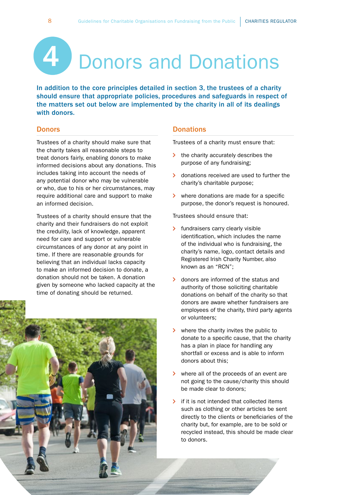# 4 Donors and Donations

In addition to the core principles detailed in section 3, the trustees of a charity should ensure that appropriate policies, procedures and safeguards in respect of the matters set out below are implemented by the charity in all of its dealings with donors.

#### **Donors**

Trustees of a charity should make sure that the charity takes all reasonable steps to treat donors fairly, enabling donors to make informed decisions about any donations. This includes taking into account the needs of any potential donor who may be vulnerable or who, due to his or her circumstances, may require additional care and support to make an informed decision.

Trustees of a charity should ensure that the charity and their fundraisers do not exploit the credulity, lack of knowledge, apparent need for care and support or vulnerable circumstances of any donor at any point in time. If there are reasonable grounds for believing that an individual lacks capacity to make an informed decision to donate, a donation should not be taken. A donation given by someone who lacked capacity at the time of donating should be returned.



#### **Donations**

Trustees of a charity must ensure that:

- $\lambda$  the charity accurately describes the purpose of any fundraising;
- $\lambda$  donations received are used to further the charity's charitable purpose;
- where donations are made for a specific purpose, the donor's request is honoured.

Trustees should ensure that:

- > fundraisers carry clearly visible identification, which includes the name of the individual who is fundraising, the charity's name, logo, contact details and Registered Irish Charity Number, also known as an "RCN";
- S donors are informed of the status and authority of those soliciting charitable donations on behalf of the charity so that donors are aware whether fundraisers are employees of the charity, third party agents or volunteers;
- > where the charity invites the public to donate to a specific cause, that the charity has a plan in place for handling any shortfall or excess and is able to inform donors about this;
- where all of the proceeds of an event are not going to the cause/charity this should be made clear to donors;
- if it is not intended that collected items such as clothing or other articles be sent directly to the clients or beneficiaries of the charity but, for example, are to be sold or recycled instead, this should be made clear to donors.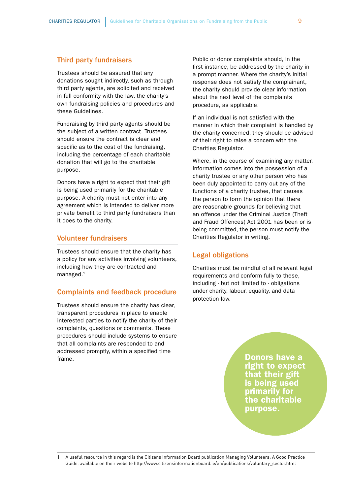#### Third party fundraisers

Trustees should be assured that any donations sought indirectly, such as through third party agents, are solicited and received in full conformity with the law, the charity's own fundraising policies and procedures and these Guidelines.

Fundraising by third party agents should be the subject of a written contract. Trustees should ensure the contract is clear and specific as to the cost of the fundraising, including the percentage of each charitable donation that will go to the charitable purpose.

Donors have a right to expect that their gift is being used primarily for the charitable purpose. A charity must not enter into any agreement which is intended to deliver more private benefit to third party fundraisers than it does to the charity.

#### Volunteer fundraisers

Trustees should ensure that the charity has a policy for any activities involving volunteers, including how they are contracted and managed.<sup>1</sup>

#### Complaints and feedback procedure

Trustees should ensure the charity has clear, transparent procedures in place to enable interested parties to notify the charity of their complaints, questions or comments. These procedures should include systems to ensure that all complaints are responded to and addressed promptly, within a specified time frame.

Public or donor complaints should, in the first instance, be addressed by the charity in a prompt manner. Where the charity's initial response does not satisfy the complainant, the charity should provide clear information about the next level of the complaints procedure, as applicable.

If an individual is not satisfied with the manner in which their complaint is handled by the charity concerned, they should be advised of their right to raise a concern with the Charities Regulator.

Where, in the course of examining any matter, information comes into the possession of a charity trustee or any other person who has been duly appointed to carry out any of the functions of a charity trustee, that causes the person to form the opinion that there are reasonable grounds for believing that an offence under the Criminal Justice (Theft and Fraud Offences) Act 2001 has been or is being committed, the person must notify the Charities Regulator in writing.

#### Legal obligations

Charities must be mindful of all relevant legal requirements and conform fully to these, including - but not limited to - obligations under charity, labour, equality, and data protection law.

> Donors have a right to expect that their gift is being used primarily for the charitable purpose.

1 A useful resource in this regard is the Citizens Information Board publication Managing Volunteers: A Good Practice Guide, available on their website [http://www.citizensinformationboard.ie/en/publications/voluntary\\_sector.html](http://www.citizensinformationboard.ie/en/publications/voluntary_sector.html)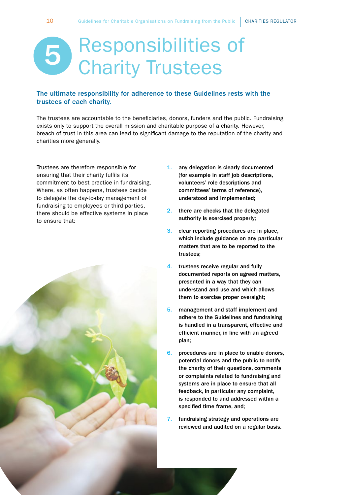## Responsibilities of Charity Trustees 5

#### The ultimate responsibility for adherence to these Guidelines rests with the trustees of each charity.

The trustees are accountable to the beneficiaries, donors, funders and the public. Fundraising exists only to support the overall mission and charitable purpose of a charity. However, breach of trust in this area can lead to significant damage to the reputation of the charity and charities more generally.

Trustees are therefore responsible for ensuring that their charity fulfils its commitment to best practice in fundraising. Where, as often happens, trustees decide to delegate the day-to-day management of fundraising to employees or third parties, there should be effective systems in place to ensure that:

![](_page_11_Picture_5.jpeg)

- 1. any delegation is clearly documented (for example in staff job descriptions, volunteers' role descriptions and committees' terms of reference), understood and implemented;
- 2. there are checks that the delegated authority is exercised properly;
- 3. clear reporting procedures are in place, which include guidance on any particular matters that are to be reported to the trustees;
- trustees receive regular and fully documented reports on agreed matters, presented in a way that they can understand and use and which allows them to exercise proper oversight;
- 5. management and staff implement and adhere to the Guidelines and fundraising is handled in a transparent, effective and efficient manner, in line with an agreed plan;
- 6. procedures are in place to enable donors, potential donors and the public to notify the charity of their questions, comments or complaints related to fundraising and systems are in place to ensure that all feedback, in particular any complaint, is responded to and addressed within a specified time frame, and;
- 7. fundraising strategy and operations are reviewed and audited on a regular basis.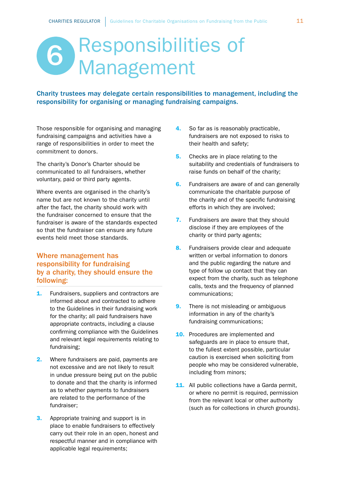## Responsibilities of Management 6

Charity trustees may delegate certain responsibilities to management, including the responsibility for organising or managing fundraising campaigns.

Those responsible for organising and managing fundraising campaigns and activities have a range of responsibilities in order to meet the commitment to donors.

The charity's Donor's Charter should be communicated to all fundraisers, whether voluntary, paid or third party agents.

Where events are organised in the charity's name but are not known to the charity until after the fact, the charity should work with the fundraiser concerned to ensure that the fundraiser is aware of the standards expected so that the fundraiser can ensure any future events held meet those standards.

#### Where management has responsibility for fundraising by a charity, they should ensure the following:

- **1.** Fundraisers, suppliers and contractors are informed about and contracted to adhere to the Guidelines in their fundraising work for the charity; all paid fundraisers have appropriate contracts, including a clause confirming compliance with the Guidelines and relevant legal requirements relating to fundraising;
- 2. Where fundraisers are paid, payments are not excessive and are not likely to result in undue pressure being put on the public to donate and that the charity is informed as to whether payments to fundraisers are related to the performance of the fundraiser;
- **3.** Appropriate training and support is in place to enable fundraisers to effectively carry out their role in an open, honest and respectful manner and in compliance with applicable legal requirements:
- 4. So far as is reasonably practicable, fundraisers are not exposed to risks to their health and safety;
- **5.** Checks are in place relating to the suitability and credentials of fundraisers to raise funds on behalf of the charity;
- **6.** Fundraisers are aware of and can generally communicate the charitable purpose of the charity and of the specific fundraising efforts in which they are involved;
- **7.** Fundraisers are aware that they should disclose if they are employees of the charity or third party agents;
- 8. Fundraisers provide clear and adequate written or verbal information to donors and the public regarding the nature and type of follow up contact that they can expect from the charity, such as telephone calls, texts and the frequency of planned communications;
- **9.** There is not misleading or ambiguous information in any of the charity's fundraising communications;
- **10.** Procedures are implemented and safeguards are in place to ensure that, to the fullest extent possible, particular caution is exercised when soliciting from people who may be considered vulnerable, including from minors;
- 11. All public collections have a Garda permit, or where no permit is required, permission from the relevant local or other authority (such as for collections in church grounds).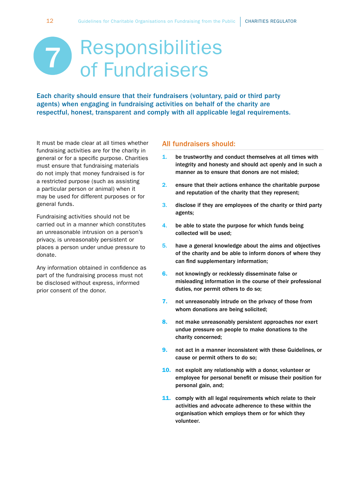## Responsibilities of Fundraisers 7

Each charity should ensure that their fundraisers (voluntary, paid or third party agents) when engaging in fundraising activities on behalf of the charity are respectful, honest, transparent and comply with all applicable legal requirements.

It must be made clear at all times whether fundraising activities are for the charity in general or for a specific purpose. Charities must ensure that fundraising materials do not imply that money fundraised is for a restricted purpose (such as assisting a particular person or animal) when it may be used for different purposes or for general funds.

Fundraising activities should not be carried out in a manner which constitutes an unreasonable intrusion on a person's privacy, is unreasonably persistent or places a person under undue pressure to donate.

Any information obtained in confidence as part of the fundraising process must not be disclosed without express, informed prior consent of the donor.

#### All fundraisers should:

- 1. be trustworthy and conduct themselves at all times with integrity and honesty and should act openly and in such a manner as to ensure that donors are not misled;
- 2. ensure that their actions enhance the charitable purpose and reputation of the charity that they represent;
- 3. disclose if they are employees of the charity or third party agents;
- 4. be able to state the purpose for which funds being collected will be used;
- 5. have a general knowledge about the aims and objectives of the charity and be able to inform donors of where they can find supplementary information;
- 6. not knowingly or recklessly disseminate false or misleading information in the course of their professional duties, nor permit others to do so;
- 7. not unreasonably intrude on the privacy of those from whom donations are being solicited;
- 8. not make unreasonably persistent approaches nor exert undue pressure on people to make donations to the charity concerned;
- 9. not act in a manner inconsistent with these Guidelines, or cause or permit others to do so;
- 10. not exploit any relationship with a donor, volunteer or employee for personal benefit or misuse their position for personal gain, and;
- 11. comply with all legal requirements which relate to their activities and advocate adherence to these within the organisation which employs them or for which they volunteer.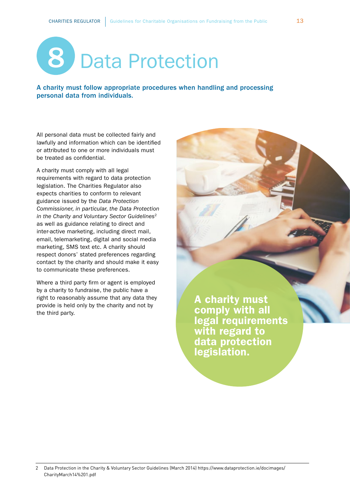![](_page_14_Picture_1.jpeg)

A charity must follow appropriate procedures when handling and processing personal data from individuals.

All personal data must be collected fairly and lawfully and information which can be identified or attributed to one or more individuals must be treated as confidential.

A charity must comply with all legal requirements with regard to data protection legislation. The Charities Regulator also expects charities to conform to relevant guidance issued by the *Data Protection Commissioner, in particular, the Data Protection in the Charity and Voluntary Sector Guidelines<sup>2</sup>* as well as guidance relating to direct and inter-active marketing, including direct mail, email, telemarketing, digital and social media marketing, SMS text etc. A charity should respect donors' stated preferences regarding contact by the charity and should make it easy to communicate these preferences.

Where a third party firm or agent is employed by a charity to fundraise, the public have a right to reasonably assume that any data they provide is held only by the charity and not by the third party.

A charity must comply with all legal requirements with regard to data protection legislation.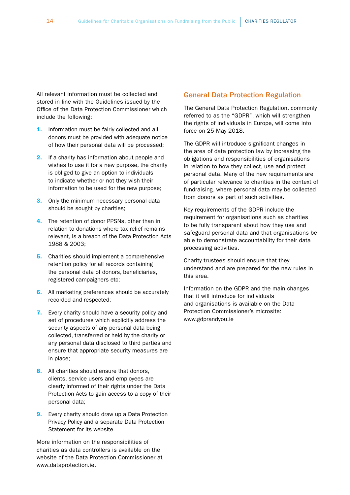All relevant information must be collected and stored in line with the Guidelines issued by the Office of the Data Protection Commissioner which include the following:

- **1.** Information must be fairly collected and all donors must be provided with adequate notice of how their personal data will be processed;
- 2. If a charity has information about people and wishes to use it for a new purpose, the charity is obliged to give an option to individuals to indicate whether or not they wish their information to be used for the new purpose;
- **3.** Only the minimum necessary personal data should be sought by charities;
- 4. The retention of donor PPSNs, other than in relation to donations where tax relief remains relevant, is a breach of the Data Protection Acts 1988 & 2003;
- 5. Charities should implement a comprehensive retention policy for all records containing the personal data of donors, beneficiaries, registered campaigners etc;
- **6.** All marketing preferences should be accurately recorded and respected;
- **7.** Every charity should have a security policy and set of procedures which explicitly address the security aspects of any personal data being collected, transferred or held by the charity or any personal data disclosed to third parties and ensure that appropriate security measures are in place;
- 8. All charities should ensure that donors, clients, service users and employees are clearly informed of their rights under the Data Protection Acts to gain access to a copy of their personal data;
- 9. Every charity should draw up a Data Protection Privacy Policy and a separate Data Protection Statement for its website.

More information on the responsibilities of charities as data controllers is available on the website of the Data Protection Commissioner at [www.dataprotection.ie.](http://www.dataprotection.ie)

#### General Data Protection Regulation

The General Data Protection Regulation, commonly referred to as the "GDPR", which will strengthen the rights of individuals in Europe, will come into force on 25 May 2018.

The GDPR will introduce significant changes in the area of data protection law by increasing the obligations and responsibilities of organisations in relation to how they collect, use and protect personal data. Many of the new requirements are of particular relevance to charities in the context of fundraising, where personal data may be collected from donors as part of such activities.

Key requirements of the GDPR include the requirement for organisations such as charities to be fully transparent about how they use and safeguard personal data and that organisations be able to demonstrate accountability for their data processing activities.

Charity trustees should ensure that they understand and are prepared for the new rules in this area.

Information on the GDPR and the main changes that it will introduce for individuals and organisations is available on the Data Protection Commissioner's microsite: [www.gdprandyou.ie](http://www.gdprandyou.ie)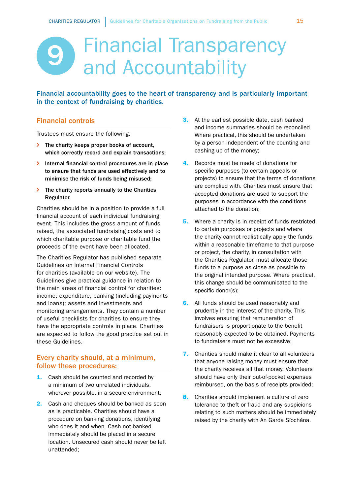## Financial Transparency and Accountability 9

Financial accountability goes to the heart of transparency and is particularly important in the context of fundraising by charities.

#### Financial controls

Trustees must ensure the following:

- > The charity keeps proper books of account, which correctly record and explain transactions;
- $\sum$  Internal financial control procedures are in place to ensure that funds are used effectively and to minimise the risk of funds being misused;
- $\triangleright$  The charity reports annually to the Charities Regulator.

Charities should be in a position to provide a full financial account of each individual fundraising event. This includes the gross amount of funds raised, the associated fundraising costs and to which charitable purpose or charitable fund the proceeds of the event have been allocated.

The Charities Regulator has published separate Guidelines on Internal Financial Controls for charities (available on our website). The Guidelines give practical guidance in relation to the main areas of financial control for charities: income; expenditure; banking (including payments and loans); assets and investments and monitoring arrangements. They contain a number of useful checklists for charities to ensure they have the appropriate controls in place. Charities are expected to follow the good practice set out in these Guidelines.

#### Every charity should, at a minimum, follow these procedures:

- **1.** Cash should be counted and recorded by a minimum of two unrelated individuals, wherever possible, in a secure environment;
- 2. Cash and cheques should be banked as soon as is practicable. Charities should have a procedure on banking donations, identifying who does it and when. Cash not banked immediately should be placed in a secure location. Unsecured cash should never be left unattended;
- **3.** At the earliest possible date, cash banked and income summaries should be reconciled. Where practical, this should be undertaken by a person independent of the counting and cashing up of the money;
- 4. Records must be made of donations for specific purposes (to certain appeals or projects) to ensure that the terms of donations are complied with. Charities must ensure that accepted donations are used to support the purposes in accordance with the conditions attached to the donation;
- 5. Where a charity is in receipt of funds restricted to certain purposes or projects and where the charity cannot realistically apply the funds within a reasonable timeframe to that purpose or project, the charity, in consultation with the Charities Regulator, must allocate those funds to a purpose as close as possible to the original intended purpose. Where practical, this change should be communicated to the specific donor(s);
- 6. All funds should be used reasonably and prudently in the interest of the charity. This involves ensuring that remuneration of fundraisers is proportionate to the benefit reasonably expected to be obtained. Payments to fundraisers must not be excessive;
- 7. Charities should make it clear to all volunteers that anyone raising money must ensure that the charity receives all that money. Volunteers should have only their out-of-pocket expenses reimbursed, on the basis of receipts provided;
- 8. Charities should implement a culture of zero tolerance to theft or fraud and any suspicions relating to such matters should be immediately raised by the charity with An Garda Síochána.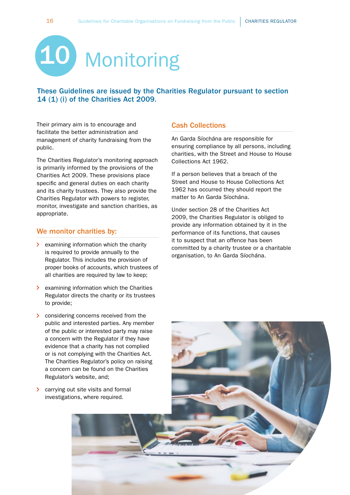![](_page_17_Picture_1.jpeg)

#### These Guidelines are issued by the Charities Regulator pursuant to section 14 (1) (i) of the Charities Act 2009.

Their primary aim is to encourage and facilitate the better administration and management of charity fundraising from the public.

The Charities Regulator's monitoring approach is primarily informed by the provisions of the Charities Act 2009. These provisions place specific and general duties on each charity and its charity trustees. They also provide the Charities Regulator with powers to register, monitor, investigate and sanction charities, as appropriate.

#### We monitor charities by:

- $\geq$  examining information which the charity is required to provide annually to the Regulator. This includes the provision of proper books of accounts, which trustees of all charities are required by law to keep;
- **EXAMINIOUS** examining information which the Charities Regulator directs the charity or its trustees to provide;
- $\geq$  considering concerns received from the public and interested parties. Any member of the public or interested party may raise a concern with the Regulator if they have evidence that a charity has not complied or is not complying with the Charities Act. The Charities Regulator's policy on raising a concern can be found on the Charities Regulator's website, and;
- > carrying out site visits and formal investigations, where required.

#### Cash Collections

An Garda Síochána are responsible for ensuring compliance by all persons, including charities, with the Street and House to House Collections Act 1962.

If a person believes that a breach of the Street and House to House Collections Act 1962 has occurred they should report the matter to An Garda Síochána.

Under section 28 of the Charities Act 2009, the Charities Regulator is obliged to provide any information obtained by it in the performance of its functions, that causes it to suspect that an offence has been committed by a charity trustee or a charitable organisation, to An Garda Síochána.

![](_page_17_Picture_14.jpeg)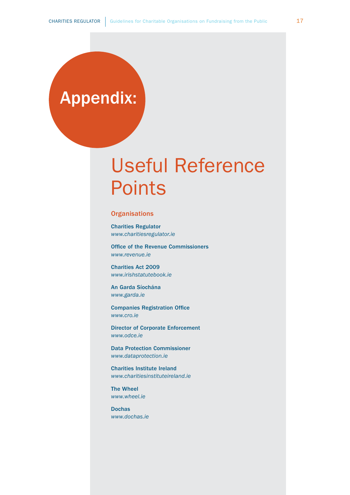# Appendix:

# Useful Reference Points

#### **Organisations**

Charities Regulator *[www.charitiesregulator.ie](http://www.charitiesregulator.ie)*

Office of the Revenue Commissioners *[www.revenue.ie](http://www.revenue.ie)*

Charities Act 2009 *[www.irishstatutebook.ie](http://www.irishstatutebook.ie)*

An Garda Síochána *[www.garda.ie](http://www.garda.ie)*

Companies Registration Office *[www.cro.ie](http://www.cro.ie)*

Director of Corporate Enforcement *[www.odce.ie](http://www.odce.ie)*

Data Protection Commissioner *[www.dataprotection.ie](http://www.dataprotection.ie)*

Charities Institute Ireland *[www.charitiesinstituteireland.ie](http://www.charitiesinstituteireland.ie)*

The Wheel *[www.wheel.ie](http://www.wheel.ie)*

**Dochas** *[www.dochas.ie](http://www.dochas.ie)*